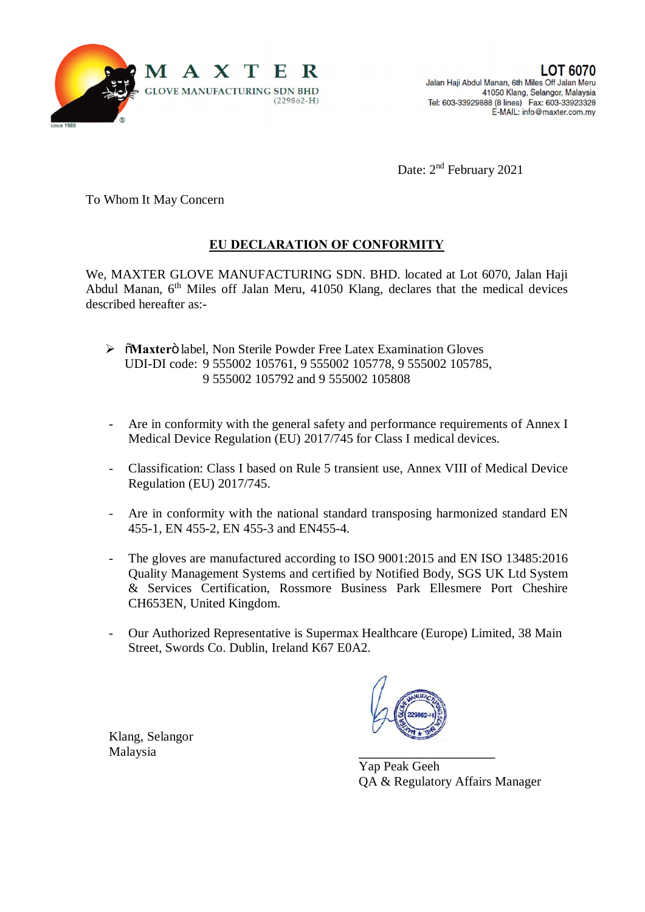

Date: 2<sup>nd</sup> February 2021

To Whom It May Concern

## **EU DECLARATION OF CONFORMITY**

We, MAXTER GLOVE MANUFACTURING SDN. BHD. located at Lot 6070, Jalan Haji Abdul Manan, 6th Miles off Jalan Meru, 41050 Klang, declares that the medical devices described hereafter as:-

- > õMaxterö label, Non Sterile Powder Free Latex Examination Gloves UDI-DI code: 9 555002 105761, 9 555002 105778, 9 555002 105785, 9 555002 105792 and 9 555002 105808
- Are in conformity with the general safety and performance requirements of Annex I Medical Device Regulation (EU) 2017/745 for Class I medical devices.
- Classification: Class I based on Rule 5 transient use, Annex VIII of Medical Device Regulation (EU) 2017/745.
- Are in conformity with the national standard transposing harmonized standard EN 455-1, EN 455-2, EN 455-3 and EN455-4.
- The gloves are manufactured according to ISO 9001:2015 and EN ISO 13485:2016 Quality Management Systems and certified by Notified Body, SGS UK Ltd System & Services Certification, Rossmore Business Park Ellesmere Port Cheshire CH653EN, United Kingdom.
- Our Authorized Representative is Supermax Healthcare (Europe) Limited, 38 Main Street, Swords Co. Dublin, Ireland K67 E0A2.

Klang, Selangor Malaysia **\_\_\_\_\_\_\_\_\_\_\_\_\_\_\_\_\_\_\_\_\_**



Yap Peak Geeh QA & Regulatory Affairs Manager